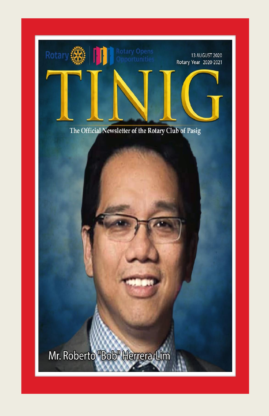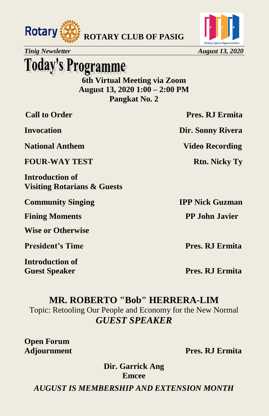



**Today's Programme** 

**6th Virtual Meeting via Zoom August 13, 2020 1:00 – 2:00 PM Pangkat No. 2**

**National Anthem Video Recording** 

**FOUR-WAY TEST Rtn. Nicky Ty** 

**Introduction of Visiting Rotarians & Guests** 

**Community Singing IPP Nick Guzman** 

**Fining Moments PP John Javier** 

**Wise or Otherwise** 

**President's Time Pres. RJ Ermita** 

**Introduction of Guest Speaker Pres. RJ Ermita** 

**Call to Order Pres. RJ Ermita** 

**Invocation** Dir. Sonny Rivera

### **MR. ROBERTO "Bob" HERRERA-LIM**

Topic: Retooling Our People and Economy for the New Normal *GUEST SPEAKER*

**Open Forum**

**Adjournment Pres. RJ Ermita**

**Dir. Garrick Ang Emcee**

*AUGUST IS MEMBERSHIP AND EXTENSION MONTH*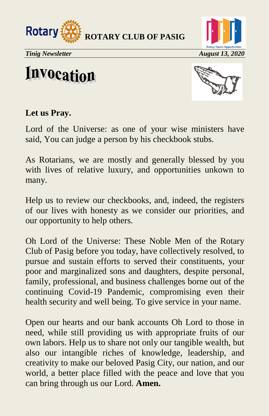



**Invocation** 



### **Let us Pray.**

Lord of the Universe: as one of your wise ministers have said, You can judge a person by his checkbook stubs.

As Rotarians, we are mostly and generally blessed by you with lives of relative luxury, and opportunities unkown to many.

Help us to review our checkbooks, and, indeed, the registers of our lives with honesty as we consider our priorities, and our opportunity to help others.

Oh Lord of the Universe: These Noble Men of the Rotary Club of Pasig before you today, have collectively resolved, to pursue and sustain efforts to served their constituents, your poor and marginalized sons and daughters, despite personal, family, professional, and business challenges borne out of the continuing Covid-19 Pandemic, compromising even their health security and well being. To give service in your name.

Open our hearts and our bank accounts Oh Lord to those in need, while still providing us with appropriate fruits of our own labors. Help us to share not only our tangible wealth, but also our intangible riches of knowledge, leadership, and creativity to make our beloved Pasig City, our nation, and our world, a better place filled with the peace and love that you can bring through us our Lord. **Amen.**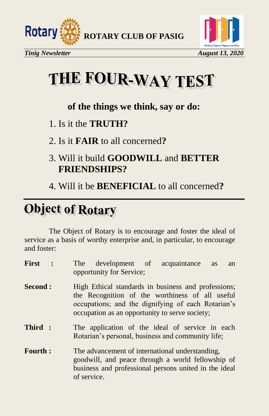



# THE FOUR-WAY TEST

### **of the things we think, say or do:**

- 1. Is it the **TRUTH?**
- 2. Is it **FAIR** to all concerned**?**
- 3. Will it build **GOODWILL** and **BETTER FRIENDSHIPS?**
- 4. Will it be **BENEFICIAL** to all concerned**?**

# **Object of Rotary**

The Object of Rotary is to encourage and foster the ideal of service as a basis of worthy enterprise and, in particular, to encourage and foster:

| First          | $\ddot{\cdot}$ | development of acquaintance<br>The<br><b>as</b><br>an<br>opportunity for Service;                                                                                                                              |
|----------------|----------------|----------------------------------------------------------------------------------------------------------------------------------------------------------------------------------------------------------------|
| <b>Second:</b> |                | High Ethical standards in business and professions;<br>the Recognition of the worthiness of all useful<br>occupations; and the dignifying of each Rotarian's<br>occupation as an opportunity to serve society; |
| Third:         |                | The application of the ideal of service in each<br>Rotarian's personal, business and community life;                                                                                                           |
| <b>Fourth:</b> |                | The advancement of international understanding,<br>goodwill, and peace through a world fellowship of<br>business and professional persons united in the ideal<br>of service.                                   |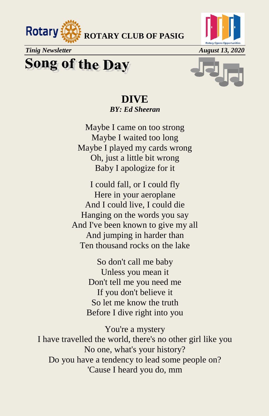

# **Song of the Day**



## **DIVE**  *BY: Ed Sheeran*

Maybe I came on too strong Maybe I waited too long Maybe I played my cards wrong Oh, just a little bit wrong Baby I apologize for it

I could fall, or I could fly Here in your aeroplane And I could live, I could die Hanging on the words you say And I've been known to give my all And jumping in harder than Ten thousand rocks on the lake

> So don't call me baby Unless you mean it Don't tell me you need me If you don't believe it So let me know the truth Before I dive right into you

You're a mystery I have travelled the world, there's no other girl like you No one, what's your history? Do you have a tendency to lead some people on? 'Cause I heard you do, mm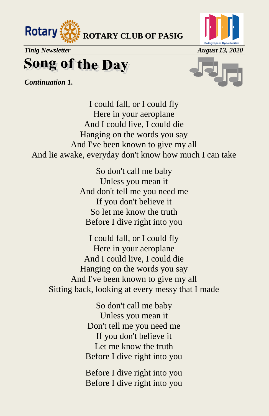



# **Song of the Day**

*Continuation 1.*



I could fall, or I could fly Here in your aeroplane And I could live, I could die Hanging on the words you say And I've been known to give my all And lie awake, everyday don't know how much I can take

> So don't call me baby Unless you mean it And don't tell me you need me If you don't believe it So let me know the truth Before I dive right into you

I could fall, or I could fly Here in your aeroplane And I could live, I could die Hanging on the words you say And I've been known to give my all Sitting back, looking at every messy that I made

> So don't call me baby Unless you mean it Don't tell me you need me If you don't believe it Let me know the truth Before I dive right into you

> Before I dive right into you Before I dive right into you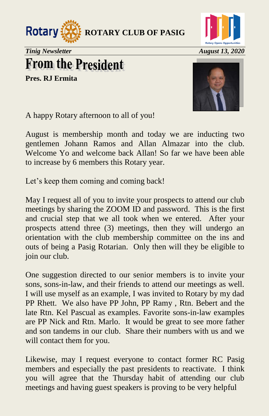



# **From the President**

**Pres. RJ Ermita**



A happy Rotary afternoon to all of you!

August is membership month and today we are inducting two gentlemen Johann Ramos and Allan Almazar into the club. Welcome Yo and welcome back Allan! So far we have been able to increase by 6 members this Rotary year.

Let's keep them coming and coming back!

May I request all of you to invite your prospects to attend our club meetings by sharing the ZOOM ID and password. This is the first and crucial step that we all took when we entered. After your prospects attend three (3) meetings, then they will undergo an orientation with the club membership committee on the ins and outs of being a Pasig Rotarian. Only then will they be eligible to join our club.

One suggestion directed to our senior members is to invite your sons, sons-in-law, and their friends to attend our meetings as well. I will use myself as an example, I was invited to Rotary by my dad PP Rhett. We also have PP John, PP Ramy , Rtn. Bebert and the late Rtn. Kel Pascual as examples. Favorite sons-in-law examples are PP Nick and Rtn. Marlo. It would be great to see more father and son tandems in our club. Share their numbers with us and we will contact them for you.

Likewise, may I request everyone to contact former RC Pasig members and especially the past presidents to reactivate. I think you will agree that the Thursday habit of attending our club meetings and having guest speakers is proving to be very helpful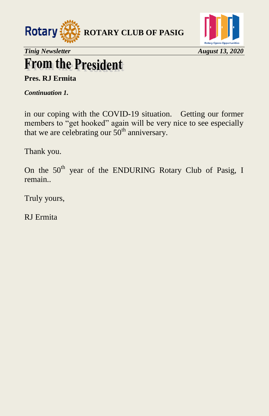



# **From the President**

**Pres. RJ Ermita**

*Continuation 1.* 

in our coping with the COVID-19 situation. Getting our former members to "get hooked" again will be very nice to see especially that we are celebrating our  $50<sup>th</sup>$  anniversary.

Thank you.

On the 50<sup>th</sup> year of the ENDURING Rotary Club of Pasig, I remain..

Truly yours,

RJ Ermita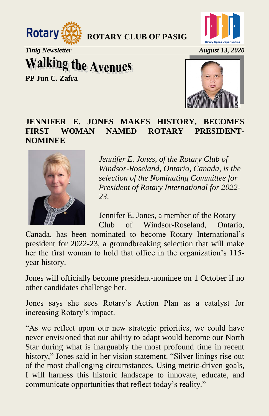



**Walking the Avenues** 

**PP Jun C. Zafra**



### **JENNIFER E. JONES MAKES HISTORY, BECOMES FIRST WOMAN NAMED ROTARY PRESIDENT-NOMINEE**



*Jennifer E. Jones, of the Rotary Club of Windsor-Roseland, Ontario, Canada, is the selection of the Nominating Committee for President of Rotary International for 2022- 23*.

Jennifer E. Jones, a member of the Rotary Club of Windsor-Roseland, Ontario,

Canada, has been nominated to become Rotary International's president for 2022-23, a groundbreaking selection that will make her the first woman to hold that office in the organization's 115 year history.

Jones will officially become president-nominee on 1 October if no other candidates challenge her.

Jones says she sees Rotary's Action Plan as a catalyst for increasing Rotary's impact.

"As we reflect upon our new strategic priorities, we could have never envisioned that our ability to adapt would become our North Star during what is inarguably the most profound time in recent history," Jones said in her vision statement. "Silver linings rise out of the most challenging circumstances. Using metric-driven goals, I will harness this historic landscape to innovate, educate, and communicate opportunities that reflect today's reality."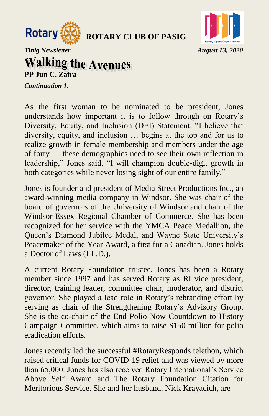



*Tinig Newsletter August 13, 2020*

### **Walking the Avenues PP Jun C. Zafra**

*Continuation 1.*

As the first woman to be nominated to be president, Jones understands how important it is to follow through on Rotary's Diversity, Equity, and Inclusion (DEI) Statement. "I believe that diversity, equity, and inclusion … begins at the top and for us to realize growth in female membership and members under the age of forty — these demographics need to see their own reflection in leadership," Jones said. "I will champion double-digit growth in both categories while never losing sight of our entire family."

Jones is founder and president of Media Street Productions Inc., an award-winning media company in Windsor. She was chair of the board of governors of the University of Windsor and chair of the Windsor-Essex Regional Chamber of Commerce. She has been recognized for her service with the YMCA Peace Medallion, the Queen's Diamond Jubilee Medal, and Wayne State University's Peacemaker of the Year Award, a first for a Canadian. Jones holds a Doctor of Laws (LL.D.).

A current Rotary Foundation trustee, Jones has been a Rotary member since 1997 and has served Rotary as RI vice president, director, training leader, committee chair, moderator, and district governor. She played a lead role in Rotary's rebranding effort by serving as chair of the Strengthening Rotary's Advisory Group. She is the co-chair of the End Polio Now Countdown to History Campaign Committee, which aims to raise \$150 million for polio eradication efforts.

Jones recently led the successful #RotaryResponds telethon, which raised critical funds for COVID-19 relief and was viewed by more than 65,000. Jones has also received Rotary International's Service Above Self Award and The Rotary Foundation Citation for Meritorious Service. She and her husband, Nick Krayacich, are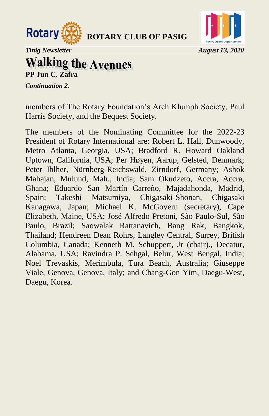



*Tinig Newsletter* August 13, 2020

### **Walking the Avenues PP Jun C. Zafra**

*Continuation 2.*

members of The Rotary Foundation's Arch Klumph Society, Paul Harris Society, and the Bequest Society.

The members of the Nominating Committee for the 2022-23 President of Rotary International are: Robert L. Hall, Dunwoody, Metro Atlanta, Georgia, USA; Bradford R. Howard Oakland Uptown, California, USA; Per Høyen, Aarup, Gelsted, Denmark; Peter Iblher, Nürnberg-Reichswald, Zirndorf, Germany; Ashok Mahajan, Mulund, Mah., India; Sam Okudzeto, Accra, Accra, Ghana; Eduardo San Martín Carreño, Majadahonda, Madrid, Spain; Takeshi Matsumiya, Chigasaki-Shonan, Chigasaki Kanagawa, Japan; Michael K. McGovern (secretary), Cape Elizabeth, Maine, USA; José Alfredo Pretoni, São Paulo-Sul, São Paulo, Brazil; Saowalak Rattanavich, Bang Rak, Bangkok, Thailand; Hendreen Dean Rohrs, Langley Central, Surrey, British Columbia, Canada; Kenneth M. Schuppert, Jr (chair)., Decatur, Alabama, USA; Ravindra P. Sehgal, Belur, West Bengal, India; Noel Trevaskis, Merimbula, Tura Beach, Australia; Giuseppe Viale, Genova, Genova, Italy; and Chang-Gon Yim, Daegu-West, Daegu, Korea.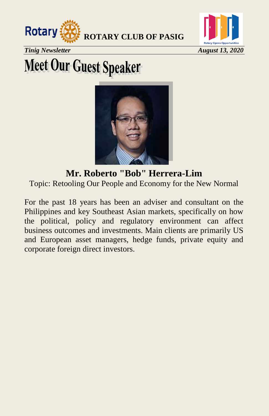



*Tinig Newsletter* August 13, 2020

# **Meet Our Guest Speaker**



**Mr. Roberto "Bob" Herrera-Lim** Topic: Retooling Our People and Economy for the New Normal

For the past 18 years has been an adviser and consultant on the Philippines and key Southeast Asian markets, specifically on how the political, policy and regulatory environment can affect business outcomes and investments. Main clients are primarily US and European asset managers, hedge funds, private equity and corporate foreign direct investors.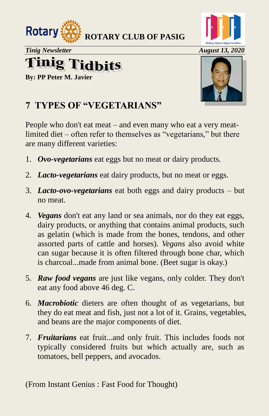

**Tinig Tidbits** 

**By: PP Peter M. Javier**



## **7 TYPES OF "VEGETARIANS"**

People who don't eat meat – and even many who eat a very meatlimited diet – often refer to themselves as "vegetarians," but there are many different varieties:

- 1. *Ovo-vegetarians* eat eggs but no meat or dairy products.
- 2. *Lacto-vegetarians* eat dairy products, but no meat or eggs.
- 3. *Lacto-ovo-vegetarians* eat both eggs and dairy products but no meat.
- 4. *Vegans* don't eat any land or sea animals, nor do they eat eggs, dairy products, or anything that contains animal products, such as gelatin (which is made from the bones, tendons, and other assorted parts of cattle and horses). *Vegans* also avoid white can sugar because it is often filtered through bone char, which is charcoal...made from animal bone. (Beet sugar is okay.)
- 5. *Raw food vegans* are just like vegans, only colder. They don't eat any food above 46 deg. C.
- 6. *Macrobiotic* dieters are often thought of as vegetarians, but they do eat meat and fish, just not a lot of it. Grains, vegetables, and beans are the major components of diet.
- 7. *Fruitarians* eat fruit...and only fruit. This includes foods not typically considered fruits but which actually are, such as tomatoes, bell peppers, and avocados.

(From Instant Genius : Fast Food for Thought)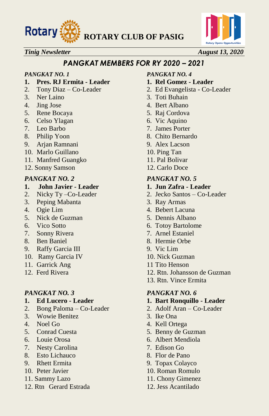



### *Tinig Newsletter August 13, 2020*

### *PANGKAT MEMBERS FOR RY 2020 – 2021*

- **1. Pres. RJ Ermita - Leader 1. Rel Gomez - Leader**
- 
- 
- 
- 5. Rene Bocaya 5. Raj Cordova
- 6. Celso Ylagan 6. Vic Aquino
- 
- 8. Philip Yoon 8. Chito Bernardo
- 9. Arjan Ramnani 9. Alex Lacson
- 10. Marlo Guillano 10. Ping Tan
- 11. Manfred Guangko 11. Pal Bolivar
- 12. Sonny Samson 12. Carlo Doce

### *PANGKAT NO. 2 PANGKAT NO. 5*

### **1. John Javier - Leader 1. Jun Zafra - Leader**

- 
- 3. Peping Mabanta 3. Ray Armas
- 
- 5. Nick de Guzman 5. Dennis Albano
- 
- 7. Sonny Rivera 7. Arnel Estaniel
- 
- 9. Raffy Garcia III 9. Vic Lim
- 10. Ramy Garcia IV 10. Nick Guzman
- 
- 

- **1. Ed Lucero - Leader 1. Bart Ronquillo - Leader**
- 2. Bong Paloma Co-Leader 2. Adolf Aran Co-Leader
- 3. Wowie Benitez 3. Ike Ona
- 
- 
- 
- 7. Nesty Carolina 7. Edison Go
- 8. Esto Lichauco 8. Flor de Pano
- 9. Rhett Ermita 9. Topax Colayco
- 10. Peter Javier 10. Roman Romulo
- 11. Sammy Lazo 11. Chony Gimenez
- 12. Rtn Gerard Estrada 12. Jess Acantilado

### *PANGKAT NO. 1 PANGKAT NO. 4*

- 
- 2. Tony Diaz Co-Leader 2. Ed Evangelista Co-Leader
- 3. Ner Laino 3. Toti Buhain
- 4. Jing Jose 4. Bert Albano
	-
	-
- 7. Leo Barbo 7. James Porter
	-
	-
	-
	-
	-

- 
- 2. Nicky Ty –Co-Leader 2. Jecko Santos Co-Leader
	-
- 4. Ogie Lim 4. Bebert Lacuna
	-
- 6. Vico Sotto 6. Totoy Bartolome
	-
- 8. Ben Baniel 8. Hermie Orbe
	-
	-
- 11. Garrick Ang 11 Tito Henson
- 12. Ferd Rivera 12. Rtn. Johansson de Guzman
	- 13. Rtn. Vince Ermita

### *PANGKAT NO. 3 PANGKAT NO. 6*

- 
- 
- 
- 4. Noel Go 4. Kell Ortega
- 5. Conrad Cuesta 5. Benny de Guzman
- 6. Louie Orosa 6. Albert Mendiola
	-
	-
	-
	-
	-
	-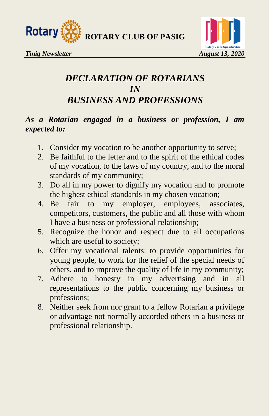



## *DECLARATION OF ROTARIANS IN BUSINESS AND PROFESSIONS*

### *As a Rotarian engaged in a business or profession, I am expected to:*

- 1. Consider my vocation to be another opportunity to serve;
- 2. Be faithful to the letter and to the spirit of the ethical codes of my vocation, to the laws of my country, and to the moral standards of my community;
- 3. Do all in my power to dignify my vocation and to promote the highest ethical standards in my chosen vocation;
- 4. Be fair to my employer, employees, associates, competitors, customers, the public and all those with whom I have a business or professional relationship;
- 5. Recognize the honor and respect due to all occupations which are useful to society;
- 6. Offer my vocational talents: to provide opportunities for young people, to work for the relief of the special needs of others, and to improve the quality of life in my community;
- 7. Adhere to honesty in my advertising and in all representations to the public concerning my business or professions;
- 8. Neither seek from nor grant to a fellow Rotarian a privilege or advantage not normally accorded others in a business or professional relationship.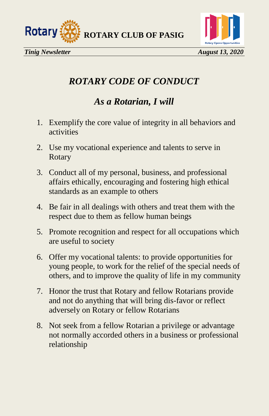



## *ROTARY CODE OF CONDUCT*

## *As a Rotarian, I will*

- 1. Exemplify the core value of integrity in all behaviors and activities
- 2. Use my vocational experience and talents to serve in Rotary
- 3. Conduct all of my personal, business, and professional affairs ethically, encouraging and fostering high ethical standards as an example to others
- 4. Be fair in all dealings with others and treat them with the respect due to them as fellow human beings
- 5. Promote recognition and respect for all occupations which are useful to society
- 6. Offer my vocational talents: to provide opportunities for young people, to work for the relief of the special needs of others, and to improve the quality of life in my community
- 7. Honor the trust that Rotary and fellow Rotarians provide and not do anything that will bring dis-favor or reflect adversely on Rotary or fellow Rotarians
- 8. Not seek from a fellow Rotarian a privilege or advantage not normally accorded others in a business or professional relationship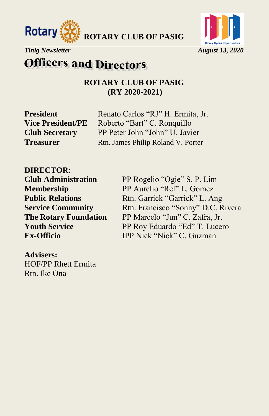





## **Officers and Directors**

**ROTARY CLUB OF PASIG (RY 2020-2021)**

**President** Renato Carlos "RJ" H. Ermita, Jr. **Vice President/PE** Roberto "Bart" C. Ronquillo **Club Secretary** PP Peter John "John" U. Javier **Treasurer** Rtn. James Philip Roland V. Porter

**DIRECTOR: Club Administration** PP Rogelio "Ogie" S. P. Lim

**Membership** PP Aurelio "Rel" L. Gomez **Public Relations** Rtn. Garrick "Garrick" L. Ang **Service Community** Rtn. Francisco "Sonny" D.C. Rivera **The Rotary Foundation** PP Marcelo "Jun" C. Zafra, Jr. **Youth Service** PP Roy Eduardo "Ed" T. Lucero **Ex-Officio IPP Nick "Nick" C. Guzman** 

**Advisers:** HOF/PP Rhett Ermita Rtn. Ike Ona